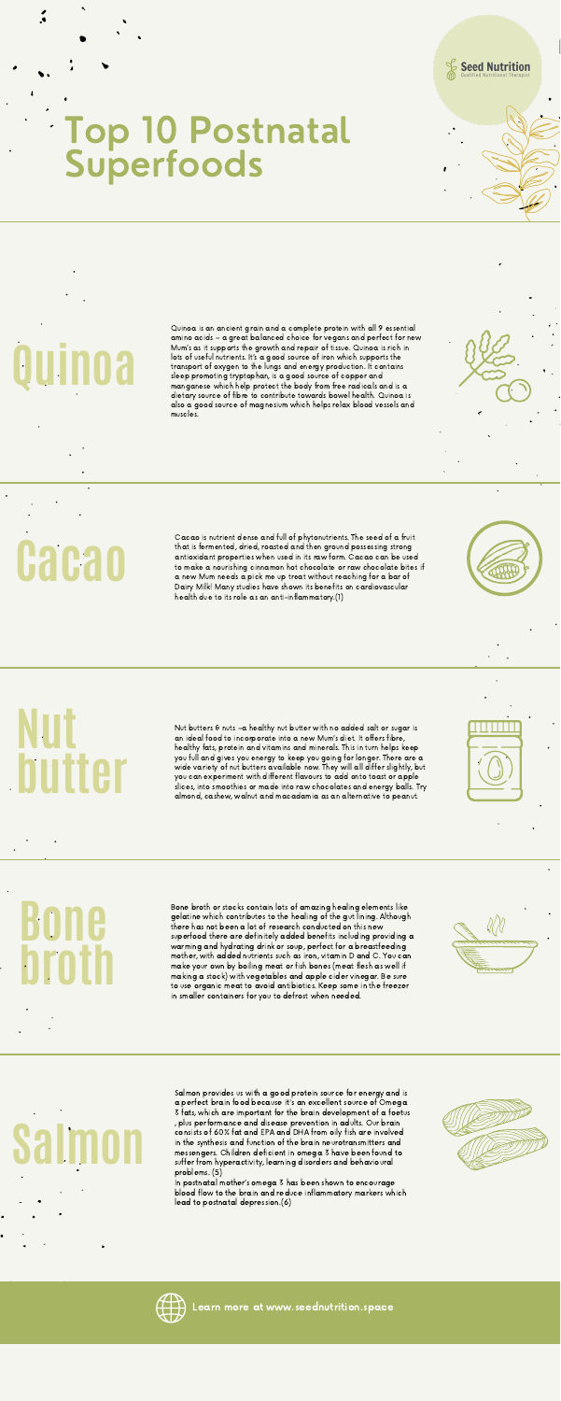

#### Top 10 Postnatal **Superfoods**

## **Bone broth**

# **Salmon**

Quinoa is an ancient grain and a complete protein with all 9 essential amino acids – a great balanced choice for vegans and perfect for new Mum's as it supports the growth and repair of tissue. Quinoa is rich in lots of useful nutrients. It's a good source of iron which supports the transport of oxygen to the lungs and energy production. It contains sleep promoting tryptophan, is a good source of copper and manganese which help protect the body from free radicals and is a dietary source of fibre to contribute towards bowel health. Quinoa is also a good source of magnesium which helps relax blood vessels and muscles.

Bone broth or stocks contain lots of amazing healing elements like gelatine which contributes to the healing of the gut lining. Although there has not been a lot of research conducted on this new superfood there are definitely added benefits including providing a warming and hydrating drink or soup, perfect for a breastfeeding mother, with added nutrients such as iron, vitamin D and C. You can make your own by boiling meat or fish bones (meat flesh as well if making a stock) with vegetables and apple cider vinegar. Be sure to use organic meat to avoid antibiotics. Keep some in the freezer in smaller containers for you to defrost when needed.



Cacao is nutrient dense and full of phytonutrients. The seed of a fruit that is fermented, dried, roasted and then ground possessing strong antioxidant properties when used in its raw form. Cacao can be used to make a nourishing cinnamon hot chocolate or raw chocolate bites if a new Mum needs a pick me up treat without reaching for a bar of Dairy Milk! Many studies have shown its benefits on cardiovascular health due to its role as an anti-inflammatory.(1)



Nut butters & nuts –a healthy nut butter with no added salt or sugar is an ideal food to incorporate into a new Mum's diet. It offers fibre, healthy fats, protein and vitamins and minerals. This in turn helps keep you full and gives you energy to keep you going for longer. There are a wide variety of nut butters available now. They will all differ slightly, but you can experiment with different flavours to add onto toast or apple slices, into smoothies or made into raw chocolates and energy balls. Try almond, cashew, walnut and macadamia as an alternative to peanut.



Salmon provides us with a good protein source for energy and is a perfect brain food because it's an excellent source of Omega 3 fats, which are important for the brain development of a foetus , plus performance and disease prevention in adults. Our brain consists of 60% fat and EPA and DHA from oily fish are involved in the synthesis and function of the brain neurotransmitters and messengers. Children deficient in omega 3 have been found to suffer from hyperactivity, learning disorders and behavioural problems. (5)

In postnatal mother's omega 3 has been shown to encourage blood flow to the brain and reduce inflammatory markers which lead to postnatal depression.(6)





**Nut butter**

**Quinoa**

**Cacao**